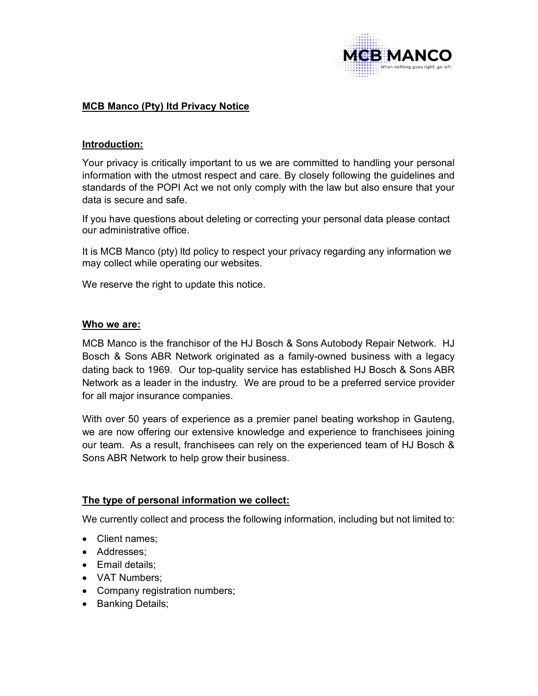

# MCB Manco (Pty) ltd Privacy Notice

## Introduction:

Your privacy is critically important to us we are committed to handling your personal information with the utmost respect and care. By closely following the guidelines and standards of the POPI Act we not only comply with the law but also ensure that your data is secure and safe.

If you have questions about deleting or correcting your personal data please contact our administrative office.

It is MCB Manco (pty) ltd policy to respect your privacy regarding any information we may collect while operating our websites.

We reserve the right to update this notice.

#### Who we are:

MCB Manco is the franchisor of the HJ Bosch & Sons Autobody Repair Network. HJ Bosch & Sons ABR Network originated as a family-owned business with a legacy dating back to 1969. Our top-quality service has established HJ Bosch & Sons ABR Network as a leader in the industry. We are proud to be a preferred service provider for all major insurance companies.

With over 50 years of experience as a premier panel beating workshop in Gauteng, we are now offering our extensive knowledge and experience to franchisees joining our team. As a result, franchisees can rely on the experienced team of HJ Bosch & Sons ABR Network to help grow their business.

#### The type of personal information we collect:

We currently collect and process the following information, including but not limited to:

- Client names;
- Addresses;
- Email details:
- VAT Numbers:
- Company registration numbers;
- Banking Details;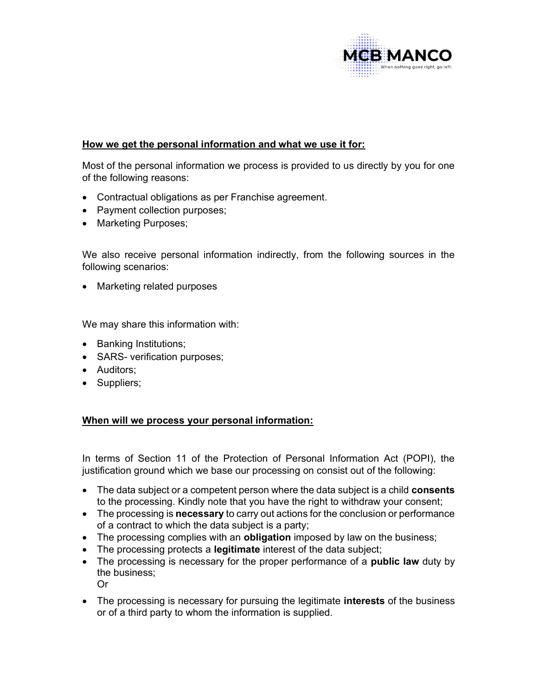

# How we get the personal information and what we use it for:

Most of the personal information we process is provided to us directly by you for one of the following reasons:

- Contractual obligations as per Franchise agreement.
- Payment collection purposes;
- Marketing Purposes;

We also receive personal information indirectly, from the following sources in the following scenarios:

• Marketing related purposes

We may share this information with:

- Banking Institutions;
- SARS- verification purposes;
- Auditors;
- Suppliers;

## When will we process your personal information:

In terms of Section 11 of the Protection of Personal Information Act (POPI), the justification ground which we base our processing on consist out of the following:

- The data subject or a competent person where the data subject is a child **consents** to the processing. Kindly note that you have the right to withdraw your consent;
- The processing is necessary to carry out actions for the conclusion or performance of a contract to which the data subject is a party;
- The processing complies with an **obligation** imposed by law on the business;
- The processing protects a legitimate interest of the data subject;
- The processing is necessary for the proper performance of a **public law** duty by the business; Or
- The processing is necessary for pursuing the legitimate **interests** of the business or of a third party to whom the information is supplied.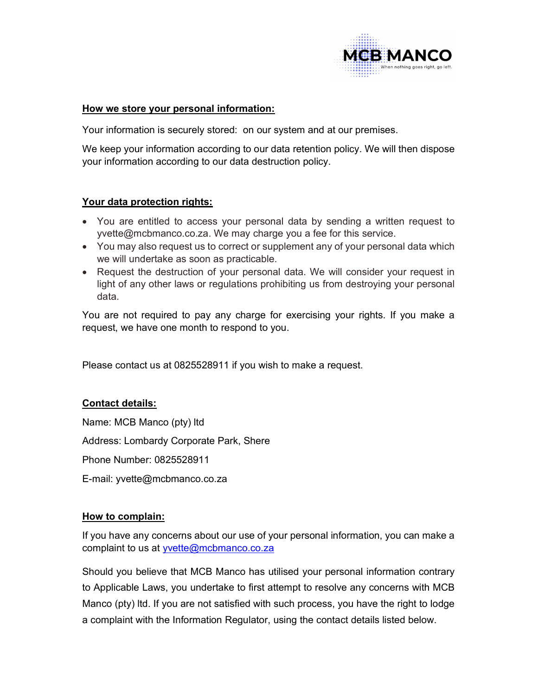

#### How we store your personal information:

Your information is securely stored: on our system and at our premises.

We keep your information according to our data retention policy. We will then dispose your information according to our data destruction policy.

## Your data protection rights:

- You are entitled to access your personal data by sending a written request to yvette@mcbmanco.co.za. We may charge you a fee for this service.
- You may also request us to correct or supplement any of your personal data which we will undertake as soon as practicable.
- Request the destruction of your personal data. We will consider your request in light of any other laws or regulations prohibiting us from destroying your personal data.

You are not required to pay any charge for exercising your rights. If you make a request, we have one month to respond to you.

Please contact us at 0825528911 if you wish to make a request.

## Contact details:

Name: MCB Manco (pty) ltd

Address: Lombardy Corporate Park, Shere

Phone Number: 0825528911

E-mail: yvette@mcbmanco.co.za

## How to complain:

If you have any concerns about our use of your personal information, you can make a complaint to us at yvette@mcbmanco.co.za

Should you believe that MCB Manco has utilised your personal information contrary to Applicable Laws, you undertake to first attempt to resolve any concerns with MCB Manco (pty) ltd. If you are not satisfied with such process, you have the right to lodge a complaint with the Information Regulator, using the contact details listed below.